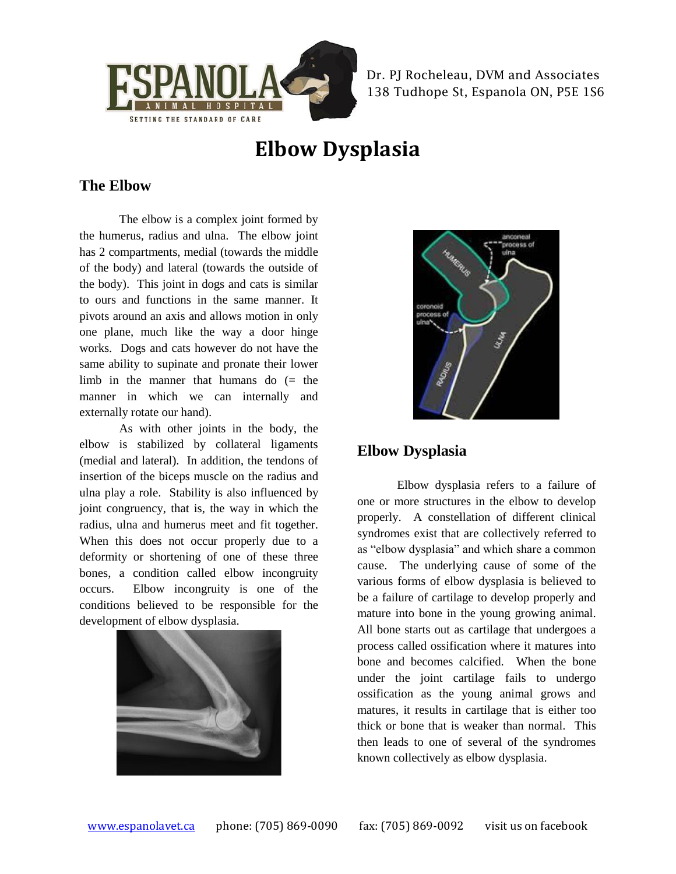

Dr. PJ Rocheleau, DVM and Associates 138 Tudhope St, Espanola ON, P5E 1S6

# **Elbow Dysplasia**

### **The Elbow**

The elbow is a complex joint formed by the humerus, radius and ulna. The elbow joint has 2 compartments, medial (towards the middle of the body) and lateral (towards the outside of the body). This joint in dogs and cats is similar to ours and functions in the same manner. It pivots around an axis and allows motion in only one plane, much like the way a door hinge works. Dogs and cats however do not have the same ability to supinate and pronate their lower limb in the manner that humans do (= the manner in which we can internally and externally rotate our hand).

As with other joints in the body, the elbow is stabilized by collateral ligaments (medial and lateral). In addition, the tendons of insertion of the biceps muscle on the radius and ulna play a role. Stability is also influenced by joint congruency, that is, the way in which the radius, ulna and humerus meet and fit together. When this does not occur properly due to a deformity or shortening of one of these three bones, a condition called elbow incongruity occurs. Elbow incongruity is one of the conditions believed to be responsible for the development of elbow dysplasia.





## **Elbow Dysplasia**

Elbow dysplasia refers to a failure of one or more structures in the elbow to develop properly. A constellation of different clinical syndromes exist that are collectively referred to as "elbow dysplasia" and which share a common cause. The underlying cause of some of the various forms of elbow dysplasia is believed to be a failure of cartilage to develop properly and mature into bone in the young growing animal. All bone starts out as cartilage that undergoes a process called ossification where it matures into bone and becomes calcified. When the bone under the joint cartilage fails to undergo ossification as the young animal grows and matures, it results in cartilage that is either too thick or bone that is weaker than normal. This then leads to one of several of the syndromes known collectively as elbow dysplasia.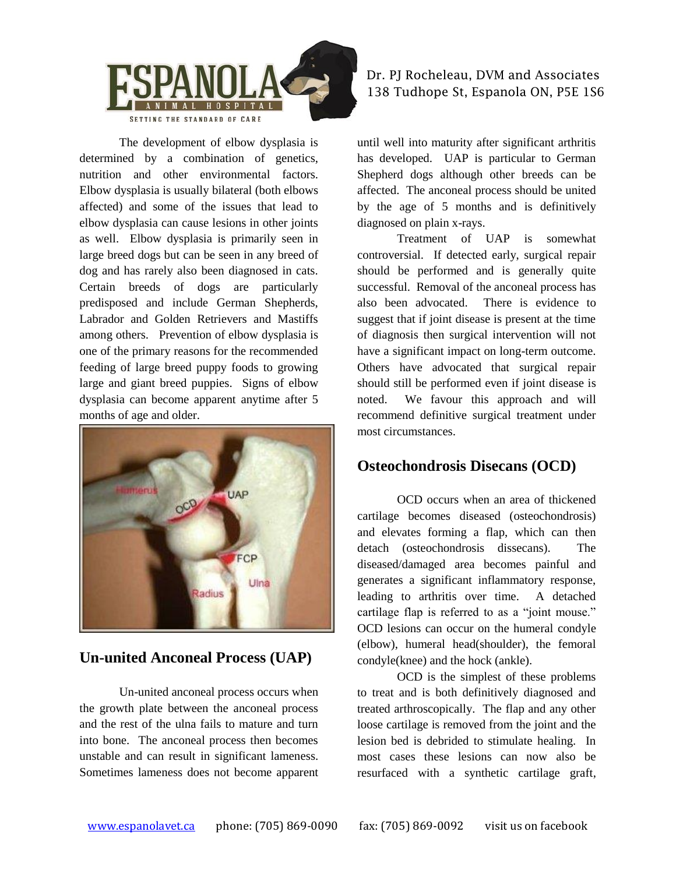

The development of elbow dysplasia is determined by a combination of genetics, nutrition and other environmental factors. Elbow dysplasia is usually bilateral (both elbows affected) and some of the issues that lead to elbow dysplasia can cause lesions in other joints as well. Elbow dysplasia is primarily seen in large breed dogs but can be seen in any breed of dog and has rarely also been diagnosed in cats. Certain breeds of dogs are particularly predisposed and include German Shepherds, Labrador and Golden Retrievers and Mastiffs among others. Prevention of elbow dysplasia is one of the primary reasons for the recommended feeding of large breed puppy foods to growing large and giant breed puppies. Signs of elbow dysplasia can become apparent anytime after 5 months of age and older.



### **Un-united Anconeal Process (UAP)**

Un-united anconeal process occurs when the growth plate between the anconeal process and the rest of the ulna fails to mature and turn into bone. The anconeal process then becomes unstable and can result in significant lameness. Sometimes lameness does not become apparent

### Dr. PJ Rocheleau, DVM and Associates 138 Tudhope St, Espanola ON, P5E 1S6

until well into maturity after significant arthritis has developed. UAP is particular to German Shepherd dogs although other breeds can be affected. The anconeal process should be united by the age of 5 months and is definitively diagnosed on plain x-rays.

Treatment of UAP is somewhat controversial. If detected early, surgical repair should be performed and is generally quite successful. Removal of the anconeal process has also been advocated. There is evidence to suggest that if joint disease is present at the time of diagnosis then surgical intervention will not have a significant impact on long-term outcome. Others have advocated that surgical repair should still be performed even if joint disease is noted. We favour this approach and will recommend definitive surgical treatment under most circumstances.

## **Osteochondrosis Disecans (OCD)**

OCD occurs when an area of thickened cartilage becomes diseased (osteochondrosis) and elevates forming a flap, which can then detach (osteochondrosis dissecans). The diseased/damaged area becomes painful and generates a significant inflammatory response, leading to arthritis over time. A detached cartilage flap is referred to as a "joint mouse." OCD lesions can occur on the humeral condyle (elbow), humeral head(shoulder), the femoral condyle(knee) and the hock (ankle).

OCD is the simplest of these problems to treat and is both definitively diagnosed and treated arthroscopically. The flap and any other loose cartilage is removed from the joint and the lesion bed is debrided to stimulate healing. In most cases these lesions can now also be resurfaced with a synthetic cartilage graft,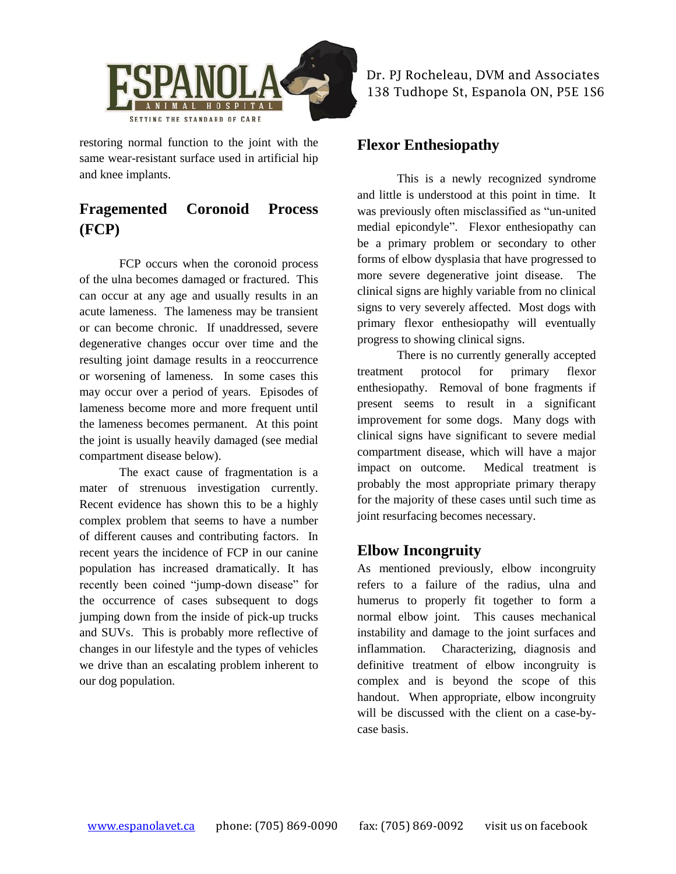

restoring normal function to the joint with the same wear-resistant surface used in artificial hip and knee implants.

## **Fragemented Coronoid Process (FCP)**

FCP occurs when the coronoid process of the ulna becomes damaged or fractured. This can occur at any age and usually results in an acute lameness. The lameness may be transient or can become chronic. If unaddressed, severe degenerative changes occur over time and the resulting joint damage results in a reoccurrence or worsening of lameness. In some cases this may occur over a period of years. Episodes of lameness become more and more frequent until the lameness becomes permanent. At this point the joint is usually heavily damaged (see medial compartment disease below).

The exact cause of fragmentation is a mater of strenuous investigation currently. Recent evidence has shown this to be a highly complex problem that seems to have a number of different causes and contributing factors. In recent years the incidence of FCP in our canine population has increased dramatically. It has recently been coined "jump-down disease" for the occurrence of cases subsequent to dogs jumping down from the inside of pick-up trucks and SUVs. This is probably more reflective of changes in our lifestyle and the types of vehicles we drive than an escalating problem inherent to our dog population.

Dr. PJ Rocheleau, DVM and Associates 138 Tudhope St, Espanola ON, P5E 1S6

### **Flexor Enthesiopathy**

This is a newly recognized syndrome and little is understood at this point in time. It was previously often misclassified as "un-united medial epicondyle". Flexor enthesiopathy can be a primary problem or secondary to other forms of elbow dysplasia that have progressed to more severe degenerative joint disease. The clinical signs are highly variable from no clinical signs to very severely affected. Most dogs with primary flexor enthesiopathy will eventually progress to showing clinical signs.

There is no currently generally accepted treatment protocol for primary flexor enthesiopathy. Removal of bone fragments if present seems to result in a significant improvement for some dogs. Many dogs with clinical signs have significant to severe medial compartment disease, which will have a major impact on outcome. Medical treatment is probably the most appropriate primary therapy for the majority of these cases until such time as joint resurfacing becomes necessary.

### **Elbow Incongruity**

As mentioned previously, elbow incongruity refers to a failure of the radius, ulna and humerus to properly fit together to form a normal elbow joint. This causes mechanical instability and damage to the joint surfaces and inflammation. Characterizing, diagnosis and definitive treatment of elbow incongruity is complex and is beyond the scope of this handout. When appropriate, elbow incongruity will be discussed with the client on a case-bycase basis.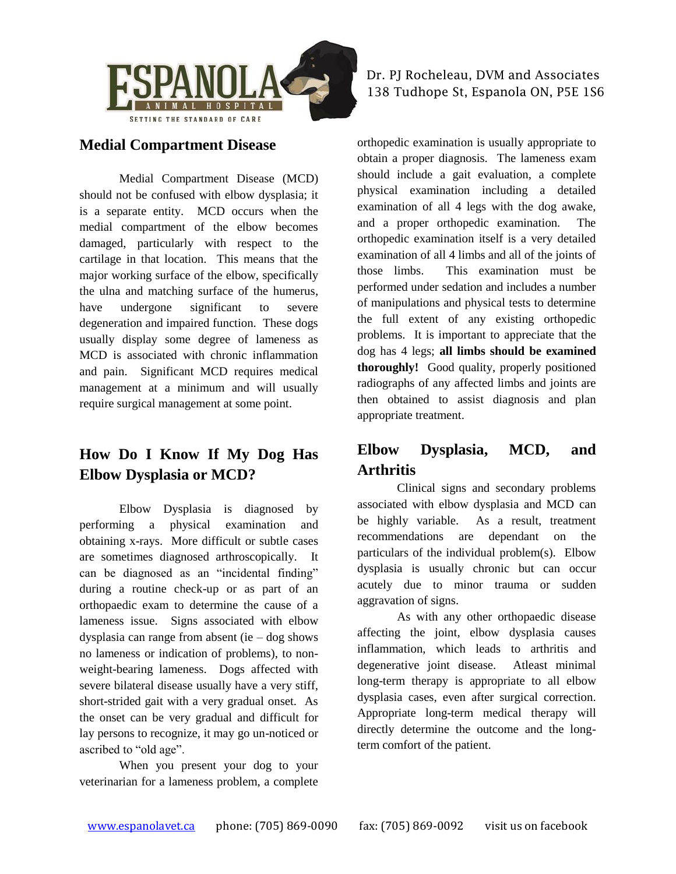

### **Medial Compartment Disease**

Medial Compartment Disease (MCD) should not be confused with elbow dysplasia; it is a separate entity. MCD occurs when the medial compartment of the elbow becomes damaged, particularly with respect to the cartilage in that location. This means that the major working surface of the elbow, specifically the ulna and matching surface of the humerus, have undergone significant to severe degeneration and impaired function. These dogs usually display some degree of lameness as MCD is associated with chronic inflammation and pain. Significant MCD requires medical management at a minimum and will usually require surgical management at some point.

## **How Do I Know If My Dog Has Elbow Dysplasia or MCD?**

Elbow Dysplasia is diagnosed by performing a physical examination and obtaining x-rays. More difficult or subtle cases are sometimes diagnosed arthroscopically. It can be diagnosed as an "incidental finding" during a routine check-up or as part of an orthopaedic exam to determine the cause of a lameness issue. Signs associated with elbow dysplasia can range from absent (ie – dog shows no lameness or indication of problems), to nonweight-bearing lameness. Dogs affected with severe bilateral disease usually have a very stiff, short-strided gait with a very gradual onset. As the onset can be very gradual and difficult for lay persons to recognize, it may go un-noticed or ascribed to "old age".

When you present your dog to your veterinarian for a lameness problem, a complete

Dr. PJ Rocheleau, DVM and Associates 138 Tudhope St, Espanola ON, P5E 1S6

orthopedic examination is usually appropriate to obtain a proper diagnosis. The lameness exam should include a gait evaluation, a complete physical examination including a detailed examination of all 4 legs with the dog awake, and a proper orthopedic examination. The orthopedic examination itself is a very detailed examination of all 4 limbs and all of the joints of those limbs. This examination must be performed under sedation and includes a number of manipulations and physical tests to determine the full extent of any existing orthopedic problems. It is important to appreciate that the dog has 4 legs; **all limbs should be examined thoroughly!** Good quality, properly positioned radiographs of any affected limbs and joints are then obtained to assist diagnosis and plan appropriate treatment.

## **Elbow Dysplasia, MCD, and Arthritis**

Clinical signs and secondary problems associated with elbow dysplasia and MCD can be highly variable. As a result, treatment recommendations are dependant on the particulars of the individual problem(s). Elbow dysplasia is usually chronic but can occur acutely due to minor trauma or sudden aggravation of signs.

As with any other orthopaedic disease affecting the joint, elbow dysplasia causes inflammation, which leads to arthritis and degenerative joint disease. Atleast minimal long-term therapy is appropriate to all elbow dysplasia cases, even after surgical correction. Appropriate long-term medical therapy will directly determine the outcome and the longterm comfort of the patient.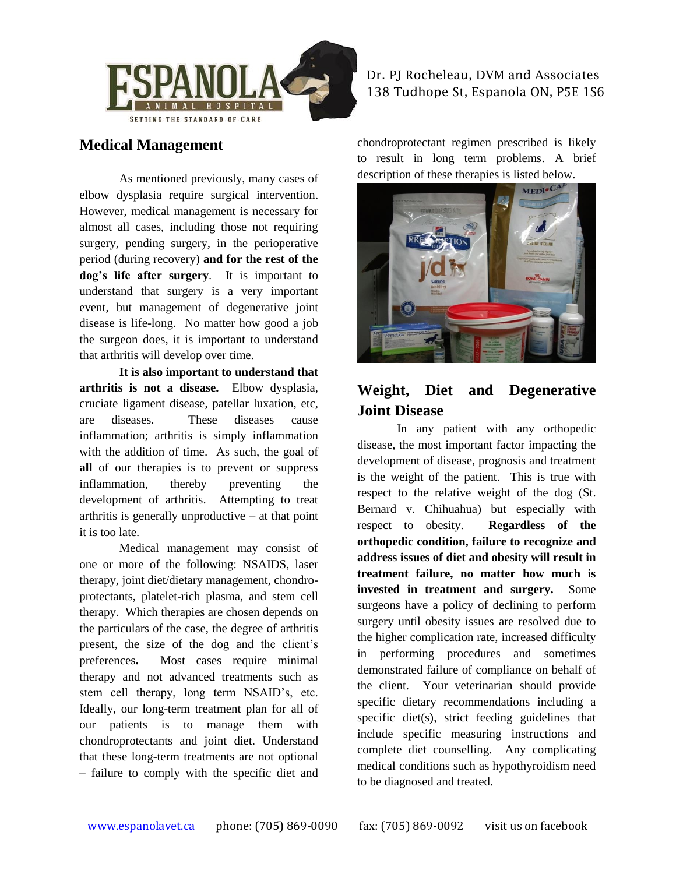

#### Dr. PJ Rocheleau, DVM and Associates 138 Tudhope St, Espanola ON, P5E 1S6

### **Medical Management**

As mentioned previously, many cases of elbow dysplasia require surgical intervention. However, medical management is necessary for almost all cases, including those not requiring surgery, pending surgery, in the perioperative period (during recovery) **and for the rest of the dog's life after surgery**. It is important to understand that surgery is a very important event, but management of degenerative joint disease is life-long. No matter how good a job the surgeon does, it is important to understand that arthritis will develop over time.

**It is also important to understand that arthritis is not a disease.** Elbow dysplasia, cruciate ligament disease, patellar luxation, etc, are diseases. These diseases cause inflammation; arthritis is simply inflammation with the addition of time. As such, the goal of **all** of our therapies is to prevent or suppress inflammation, thereby preventing the development of arthritis. Attempting to treat arthritis is generally unproductive  $-$  at that point it is too late.

Medical management may consist of one or more of the following: NSAIDS, laser therapy, joint diet/dietary management, chondroprotectants, platelet-rich plasma, and stem cell therapy. Which therapies are chosen depends on the particulars of the case, the degree of arthritis present, the size of the dog and the client's preferences**.** Most cases require minimal therapy and not advanced treatments such as stem cell therapy, long term NSAID's, etc. Ideally, our long-term treatment plan for all of our patients is to manage them with chondroprotectants and joint diet. Understand that these long-term treatments are not optional – failure to comply with the specific diet and chondroprotectant regimen prescribed is likely to result in long term problems. A brief description of these therapies is listed below.



## **Weight, Diet and Degenerative Joint Disease**

In any patient with any orthopedic disease, the most important factor impacting the development of disease, prognosis and treatment is the weight of the patient. This is true with respect to the relative weight of the dog (St. Bernard v. Chihuahua) but especially with respect to obesity. **Regardless of the orthopedic condition, failure to recognize and address issues of diet and obesity will result in treatment failure, no matter how much is invested in treatment and surgery.** Some surgeons have a policy of declining to perform surgery until obesity issues are resolved due to the higher complication rate, increased difficulty in performing procedures and sometimes demonstrated failure of compliance on behalf of the client. Your veterinarian should provide specific dietary recommendations including a specific diet(s), strict feeding guidelines that include specific measuring instructions and complete diet counselling. Any complicating medical conditions such as hypothyroidism need to be diagnosed and treated.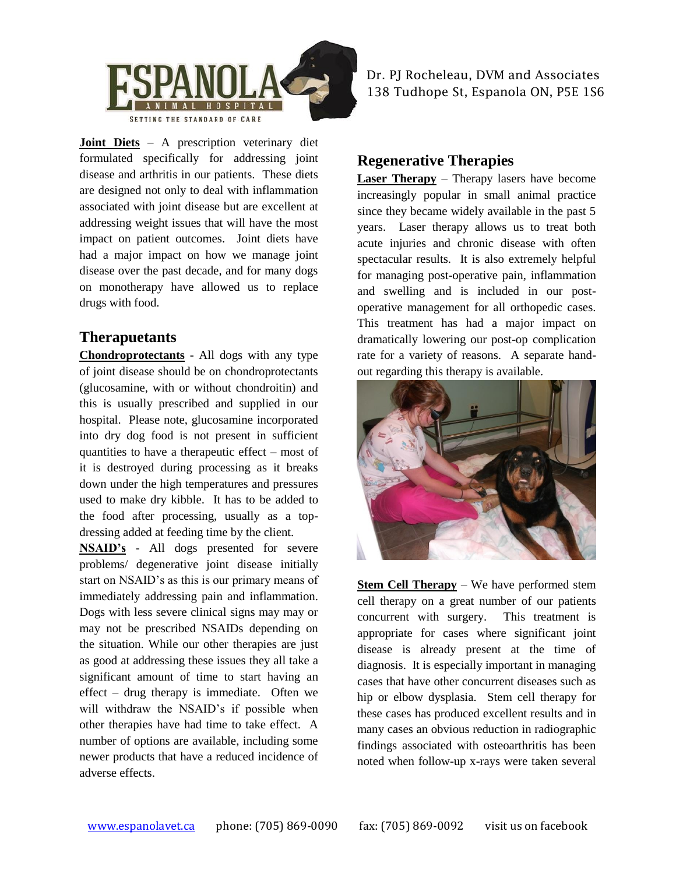

**Joint Diets** – A prescription veterinary diet formulated specifically for addressing joint disease and arthritis in our patients. These diets are designed not only to deal with inflammation associated with joint disease but are excellent at addressing weight issues that will have the most impact on patient outcomes. Joint diets have had a major impact on how we manage joint disease over the past decade, and for many dogs on monotherapy have allowed us to replace drugs with food.

#### **Therapuetants**

**Chondroprotectants** - All dogs with any type of joint disease should be on chondroprotectants (glucosamine, with or without chondroitin) and this is usually prescribed and supplied in our hospital. Please note, glucosamine incorporated into dry dog food is not present in sufficient quantities to have a therapeutic effect – most of it is destroyed during processing as it breaks down under the high temperatures and pressures used to make dry kibble. It has to be added to the food after processing, usually as a topdressing added at feeding time by the client.

**NSAID's** - All dogs presented for severe problems/ degenerative joint disease initially start on NSAID's as this is our primary means of immediately addressing pain and inflammation. Dogs with less severe clinical signs may may or may not be prescribed NSAIDs depending on the situation. While our other therapies are just as good at addressing these issues they all take a significant amount of time to start having an effect – drug therapy is immediate. Often we will withdraw the NSAID's if possible when other therapies have had time to take effect. A number of options are available, including some newer products that have a reduced incidence of adverse effects.

Dr. PJ Rocheleau, DVM and Associates 138 Tudhope St, Espanola ON, P5E 1S6

### **Regenerative Therapies**

**Laser Therapy** – Therapy lasers have become increasingly popular in small animal practice since they became widely available in the past 5 years. Laser therapy allows us to treat both acute injuries and chronic disease with often spectacular results. It is also extremely helpful for managing post-operative pain, inflammation and swelling and is included in our postoperative management for all orthopedic cases. This treatment has had a major impact on dramatically lowering our post-op complication rate for a variety of reasons. A separate handout regarding this therapy is available.



**Stem Cell Therapy** – We have performed stem cell therapy on a great number of our patients concurrent with surgery. This treatment is appropriate for cases where significant joint disease is already present at the time of diagnosis. It is especially important in managing cases that have other concurrent diseases such as hip or elbow dysplasia. Stem cell therapy for these cases has produced excellent results and in many cases an obvious reduction in radiographic findings associated with osteoarthritis has been noted when follow-up x-rays were taken several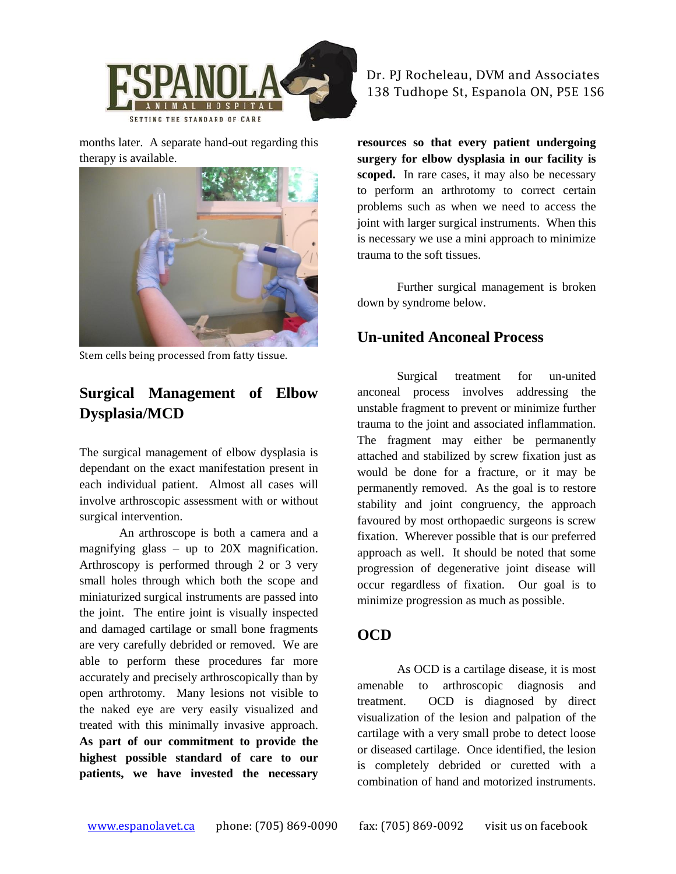

months later. A separate hand-out regarding this therapy is available.



Stem cells being processed from fatty tissue.

## **Surgical Management of Elbow Dysplasia/MCD**

The surgical management of elbow dysplasia is dependant on the exact manifestation present in each individual patient. Almost all cases will involve arthroscopic assessment with or without surgical intervention.

An arthroscope is both a camera and a magnifying glass – up to 20X magnification. Arthroscopy is performed through 2 or 3 very small holes through which both the scope and miniaturized surgical instruments are passed into the joint. The entire joint is visually inspected and damaged cartilage or small bone fragments are very carefully debrided or removed. We are able to perform these procedures far more accurately and precisely arthroscopically than by open arthrotomy. Many lesions not visible to the naked eye are very easily visualized and treated with this minimally invasive approach. **As part of our commitment to provide the highest possible standard of care to our patients, we have invested the necessary** 

#### Dr. PJ Rocheleau, DVM and Associates 138 Tudhope St, Espanola ON, P5E 1S6

**resources so that every patient undergoing surgery for elbow dysplasia in our facility is scoped.** In rare cases, it may also be necessary to perform an arthrotomy to correct certain problems such as when we need to access the joint with larger surgical instruments. When this is necessary we use a mini approach to minimize trauma to the soft tissues.

Further surgical management is broken down by syndrome below.

#### **Un-united Anconeal Process**

Surgical treatment for un-united anconeal process involves addressing the unstable fragment to prevent or minimize further trauma to the joint and associated inflammation. The fragment may either be permanently attached and stabilized by screw fixation just as would be done for a fracture, or it may be permanently removed. As the goal is to restore stability and joint congruency, the approach favoured by most orthopaedic surgeons is screw fixation. Wherever possible that is our preferred approach as well. It should be noted that some progression of degenerative joint disease will occur regardless of fixation. Our goal is to minimize progression as much as possible.

#### **OCD**

As OCD is a cartilage disease, it is most amenable to arthroscopic diagnosis and treatment. OCD is diagnosed by direct visualization of the lesion and palpation of the cartilage with a very small probe to detect loose or diseased cartilage. Once identified, the lesion is completely debrided or curetted with a combination of hand and motorized instruments.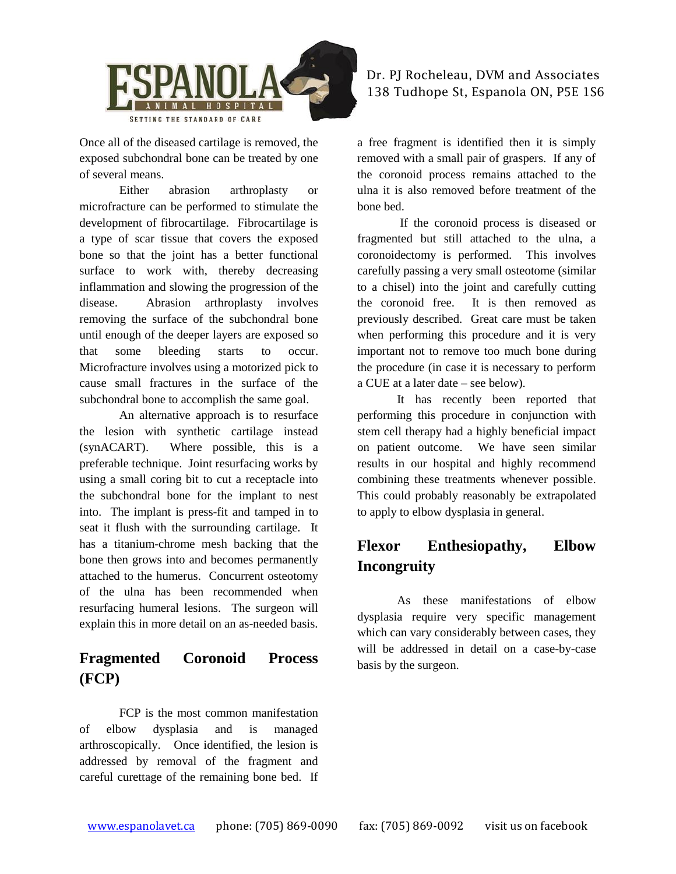

Once all of the diseased cartilage is removed, the exposed subchondral bone can be treated by one of several means.

Either abrasion arthroplasty or microfracture can be performed to stimulate the development of fibrocartilage. Fibrocartilage is a type of scar tissue that covers the exposed bone so that the joint has a better functional surface to work with, thereby decreasing inflammation and slowing the progression of the disease. Abrasion arthroplasty involves removing the surface of the subchondral bone until enough of the deeper layers are exposed so that some bleeding starts to occur. Microfracture involves using a motorized pick to cause small fractures in the surface of the subchondral bone to accomplish the same goal.

An alternative approach is to resurface the lesion with synthetic cartilage instead (synACART). Where possible, this is a preferable technique. Joint resurfacing works by using a small coring bit to cut a receptacle into the subchondral bone for the implant to nest into. The implant is press-fit and tamped in to seat it flush with the surrounding cartilage. It has a titanium-chrome mesh backing that the bone then grows into and becomes permanently attached to the humerus. Concurrent osteotomy of the ulna has been recommended when resurfacing humeral lesions. The surgeon will explain this in more detail on an as-needed basis.

## **Fragmented Coronoid Process (FCP)**

FCP is the most common manifestation of elbow dysplasia and is managed arthroscopically. Once identified, the lesion is addressed by removal of the fragment and careful curettage of the remaining bone bed. If

#### Dr. PJ Rocheleau, DVM and Associates 138 Tudhope St, Espanola ON, P5E 1S6

a free fragment is identified then it is simply removed with a small pair of graspers. If any of the coronoid process remains attached to the ulna it is also removed before treatment of the bone bed.

If the coronoid process is diseased or fragmented but still attached to the ulna, a coronoidectomy is performed. This involves carefully passing a very small osteotome (similar to a chisel) into the joint and carefully cutting the coronoid free. It is then removed as previously described. Great care must be taken when performing this procedure and it is very important not to remove too much bone during the procedure (in case it is necessary to perform a CUE at a later date – see below).

It has recently been reported that performing this procedure in conjunction with stem cell therapy had a highly beneficial impact on patient outcome. We have seen similar results in our hospital and highly recommend combining these treatments whenever possible. This could probably reasonably be extrapolated to apply to elbow dysplasia in general.

## **Flexor Enthesiopathy, Elbow Incongruity**

As these manifestations of elbow dysplasia require very specific management which can vary considerably between cases, they will be addressed in detail on a case-by-case basis by the surgeon.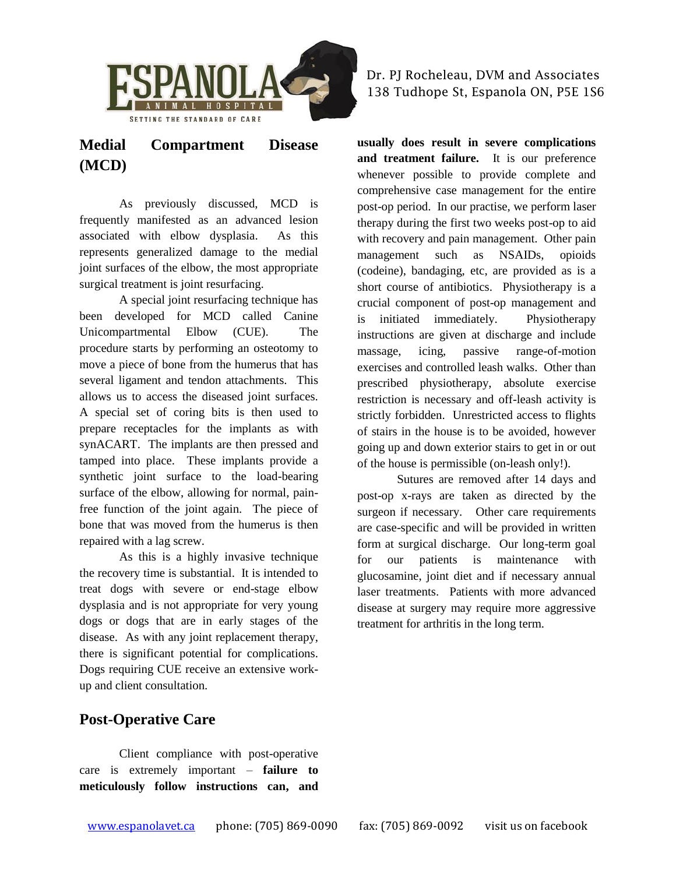

## **Medial Compartment Disease (MCD)**

As previously discussed, MCD is frequently manifested as an advanced lesion associated with elbow dysplasia. As this represents generalized damage to the medial joint surfaces of the elbow, the most appropriate surgical treatment is joint resurfacing.

A special joint resurfacing technique has been developed for MCD called Canine Unicompartmental Elbow (CUE). The procedure starts by performing an osteotomy to move a piece of bone from the humerus that has several ligament and tendon attachments. This allows us to access the diseased joint surfaces. A special set of coring bits is then used to prepare receptacles for the implants as with synACART. The implants are then pressed and tamped into place. These implants provide a synthetic joint surface to the load-bearing surface of the elbow, allowing for normal, painfree function of the joint again. The piece of bone that was moved from the humerus is then repaired with a lag screw.

As this is a highly invasive technique the recovery time is substantial. It is intended to treat dogs with severe or end-stage elbow dysplasia and is not appropriate for very young dogs or dogs that are in early stages of the disease. As with any joint replacement therapy, there is significant potential for complications. Dogs requiring CUE receive an extensive workup and client consultation.

Dr. PJ Rocheleau, DVM and Associates 138 Tudhope St, Espanola ON, P5E 1S6

**usually does result in severe complications and treatment failure.** It is our preference whenever possible to provide complete and comprehensive case management for the entire post-op period. In our practise, we perform laser therapy during the first two weeks post-op to aid with recovery and pain management. Other pain management such as NSAIDs, opioids (codeine), bandaging, etc, are provided as is a short course of antibiotics. Physiotherapy is a crucial component of post-op management and is initiated immediately. Physiotherapy instructions are given at discharge and include massage, icing, passive range-of-motion exercises and controlled leash walks. Other than prescribed physiotherapy, absolute exercise restriction is necessary and off-leash activity is strictly forbidden. Unrestricted access to flights of stairs in the house is to be avoided, however going up and down exterior stairs to get in or out of the house is permissible (on-leash only!).

Sutures are removed after 14 days and post-op x-rays are taken as directed by the surgeon if necessary. Other care requirements are case-specific and will be provided in written form at surgical discharge. Our long-term goal for our patients is maintenance with glucosamine, joint diet and if necessary annual laser treatments. Patients with more advanced disease at surgery may require more aggressive treatment for arthritis in the long term.

### **Post-Operative Care**

Client compliance with post-operative care is extremely important – **failure to meticulously follow instructions can, and**